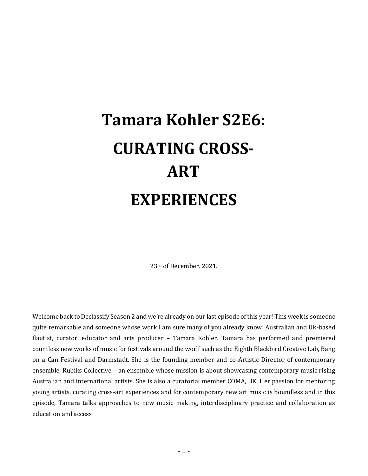# **Tamara Kohler S2E6: CURATING CROSS-ART EXPERIENCES**

23rd of December. 2021.

Welcome back to Declassify Season 2 and we're already on our last episode of this year! This week is someone quite remarkable and someone whose work I am sure many of you already know: Australian and Uk-based flautist, curator, educator and arts producer – Tamara Kohler. Tamara has performed and premiered countless new works of music for festivals around the worlf such as the Eighth Blackbird Creative Lab, Bang on a Can Festival and Darmstadt. She is the founding member and co-Artistic Director of contemporary ensemble, Rubiks Collective – an ensemble whose mission is about showcasing contemporary music rising Australian and international artists. She is also a curatorial member COMA, UK. Her passion for mentoring young artists, curating cross-art experiences and for contemporary new art music is boundless and in this episode, Tamara talks approaches to new music making, interdisciplinary practice and collaboration as education and access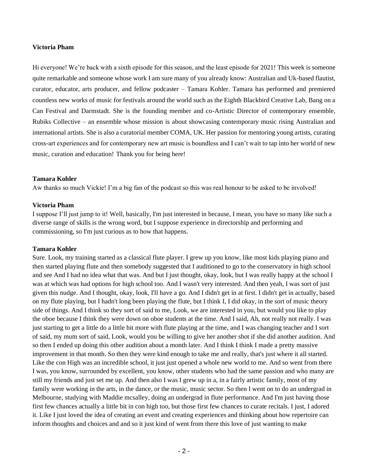#### **Victoria Pham**

Hi everyone! We're back with a sixth episode for this season, and the least episode for 2021! This week is someone quite remarkable and someone whose work I am sure many of you already know: Australian and Uk-based flautist, curator, educator, arts producer, and fellow podcaster – Tamara Kohler. Tamara has performed and premiered countless new works of music for festivals around the world such as the Eighth Blackbird Creative Lab, Bang on a Can Festival and Darmstadt. She is the founding member and co-Artistic Director of contemporary ensemble, Rubiks Collective – an ensemble whose mission is about showcasing contemporary music rising Australian and international artists. She is also a curatorial member COMA, UK. Her passion for mentoring young artists, curating cross-art experiences and for contemporary new art music is boundless and I can't wait to tap into her world of new music, curation and education! Thank you for being here!

#### **Tamara Kohler**

Aw thanks so much Vickie! I'm a big fan of the podcast so this was real honour to be asked to be involved!

#### **Victoria Pham**

I suppose I'll just jump to it! Well, basically, I'm just interested in because, I mean, you have so many like such a diverse range of skills is the wrong word, but I suppose experience in directorship and performing and commissioning, so I'm just curious as to how that happens.

#### **Tamara Kohler**

Sure. Look, my training started as a classical flute player. I grew up you know, like most kids playing piano and then started playing flute and then somebody suggested that I auditioned to go to the conservatory in high school and see And I had no idea what that was. And but I just thought, okay, look, but I was really happy at the school I was at which was had options for high school too. And I wasn't very interested. And then yeah, I was sort of just given this nudge. And I thought, okay, look, I'll have a go. And I didn't get in at first. I didn't get in actually, based on my flute playing, but I hadn't long been playing the flute, but I think I, I did okay, in the sort of music theory side of things. And I think so they sort of said to me, Look, we are interested in you, but would you like to play the oboe because I think they were down on oboe students at the time. And I said, Ah, not really not really. I was just starting to get a little do a little bit more with flute playing at the time, and I was changing teacher and I sort of said, my mum sort of said, Look, would you be willing to give her another shot if she did another audition. And so then I ended up doing this other audition about a month later. And I think I think I made a pretty massive improvement in that month. So then they were kind enough to take me and really, that's just where it all started. Like the con High was an incredible school, it just just opened a whole new world to me. And so went from there I was, you know, surrounded by excellent, you know, other students who had the same passion and who many are still my friends and just set me up. And then also I was I grew up in a, in a fairly artistic family, most of my family were working in the arts, in the dance, or the music, music sector. So then I went on to do an undergrad in Melbourne, studying with Maddie mcsalley, doing an undergrad in flute performance. And I'm just having those first few chances actually a little bit in con high too, but those first few chances to curate recitals. I just, I adored it. Like I just loved the idea of creating an event and creating experiences and thinking about how repertoire can inform thoughts and choices and and so it just kind of went from there this love of just wanting to make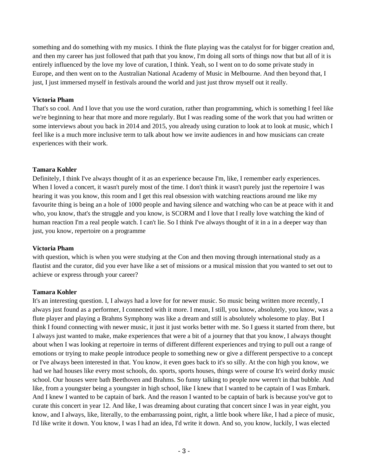something and do something with my musics. I think the flute playing was the catalyst for for bigger creation and, and then my career has just followed that path that you know, I'm doing all sorts of things now that but all of it is entirely influenced by the love my love of curation, I think. Yeah, so I went on to do some private study in Europe, and then went on to the Australian National Academy of Music in Melbourne. And then beyond that, I just, I just immersed myself in festivals around the world and just just throw myself out it really.

# **Victoria Pham**

That's so cool. And I love that you use the word curation, rather than programming, which is something I feel like we're beginning to hear that more and more regularly. But I was reading some of the work that you had written or some interviews about you back in 2014 and 2015, you already using curation to look at to look at music, which I feel like is a much more inclusive term to talk about how we invite audiences in and how musicians can create experiences with their work.

#### **Tamara Kohler**

Definitely, I think I've always thought of it as an experience because I'm, like, I remember early experiences. When I loved a concert, it wasn't purely most of the time. I don't think it wasn't purely just the repertoire I was hearing it was you know, this room and I get this real obsession with watching reactions around me like my favourite thing is being an a hole of 1000 people and having silence and watching who can be at peace with it and who, you know, that's the struggle and you know, is SCORM and I love that I really love watching the kind of human reaction I'm a real people watch. I can't lie. So I think I've always thought of it in a in a deeper way than just, you know, repertoire on a programme

#### **Victoria Pham**

with question, which is when you were studying at the Con and then moving through international study as a flautist and the curator, did you ever have like a set of missions or a musical mission that you wanted to set out to achieve or express through your career?

# **Tamara Kohler**

It's an interesting question. I, I always had a love for for newer music. So music being written more recently, I always just found as a performer, I connected with it more. I mean, I still, you know, absolutely, you know, was a flute player and playing a Brahms Symphony was like a dream and still is absolutely wholesome to play. But I think I found connecting with newer music, it just it just works better with me. So I guess it started from there, but I always just wanted to make, make experiences that were a bit of a journey that that you know, I always thought about when I was looking at repertoire in terms of different different experiences and trying to pull out a range of emotions or trying to make people introduce people to something new or give a different perspective to a concept or I've always been interested in that. You know, it even goes back to it's so silly. At the con high you know, we had we had houses like every most schools, do. sports, sports houses, things were of course It's weird dorky music school. Our houses were bath Beethoven and Brahms. So funny talking to people now weren't in that bubble. And like, from a youngster being a youngster in high school, like I knew that I wanted to be captain of I was Embark. And I knew I wanted to be captain of bark. And the reason I wanted to be captain of bark is because you've got to curate this concert in year 12. And like, I was dreaming about curating that concert since I was in year eight, you know, and I always, like, literally, to the embarrassing point, right, a little book where like, I had a piece of music, I'd like write it down. You know, I was I had an idea, I'd write it down. And so, you know, luckily, I was elected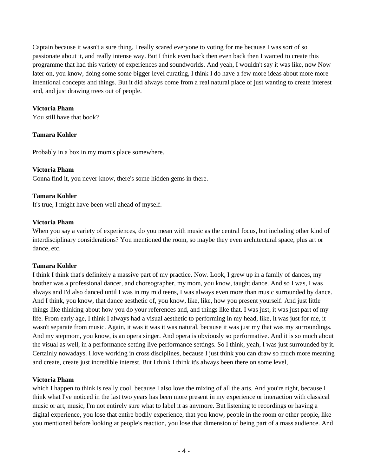Captain because it wasn't a sure thing. I really scared everyone to voting for me because I was sort of so passionate about it, and really intense way. But I think even back then even back then I wanted to create this programme that had this variety of experiences and soundworlds. And yeah, I wouldn't say it was like, now Now later on, you know, doing some some bigger level curating, I think I do have a few more ideas about more more intentional concepts and things. But it did always come from a real natural place of just wanting to create interest and, and just drawing trees out of people.

# **Victoria Pham**

You still have that book?

# **Tamara Kohler**

Probably in a box in my mom's place somewhere.

#### **Victoria Pham**

Gonna find it, you never know, there's some hidden gems in there.

#### **Tamara Kohler**

It's true, I might have been well ahead of myself.

# **Victoria Pham**

When you say a variety of experiences, do you mean with music as the central focus, but including other kind of interdisciplinary considerations? You mentioned the room, so maybe they even architectural space, plus art or dance, etc.

# **Tamara Kohler**

I think I think that's definitely a massive part of my practice. Now. Look, I grew up in a family of dances, my brother was a professional dancer, and choreographer, my mom, you know, taught dance. And so I was, I was always and I'd also danced until I was in my mid teens, I was always even more than music surrounded by dance. And I think, you know, that dance aesthetic of, you know, like, like, how you present yourself. And just little things like thinking about how you do your references and, and things like that. I was just, it was just part of my life. From early age, I think I always had a visual aesthetic to performing in my head, like, it was just for me, it wasn't separate from music. Again, it was it was it was natural, because it was just my that was my surroundings. And my stepmom, you know, is an opera singer. And opera is obviously so performative. And it is so much about the visual as well, in a performance setting live performance settings. So I think, yeah, I was just surrounded by it. Certainly nowadays. I love working in cross disciplines, because I just think you can draw so much more meaning and create, create just incredible interest. But I think I think it's always been there on some level,

#### **Victoria Pham**

which I happen to think is really cool, because I also love the mixing of all the arts. And you're right, because I think what I've noticed in the last two years has been more present in my experience or interaction with classical music or art, music, I'm not entirely sure what to label it as anymore. But listening to recordings or having a digital experience, you lose that entire bodily experience, that you know, people in the room or other people, like you mentioned before looking at people's reaction, you lose that dimension of being part of a mass audience. And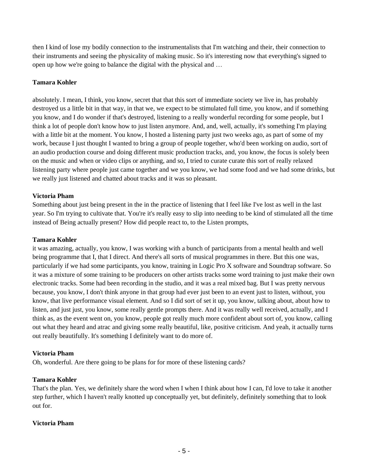then I kind of lose my bodily connection to the instrumentalists that I'm watching and their, their connection to their instruments and seeing the physicality of making music. So it's interesting now that everything's signed to open up how we're going to balance the digital with the physical and …

# **Tamara Kohler**

absolutely. I mean, I think, you know, secret that that this sort of immediate society we live in, has probably destroyed us a little bit in that way, in that we, we expect to be stimulated full time, you know, and if something you know, and I do wonder if that's destroyed, listening to a really wonderful recording for some people, but I think a lot of people don't know how to just listen anymore. And, and, well, actually, it's something I'm playing with a little bit at the moment. You know, I hosted a listening party just two weeks ago, as part of some of my work, because I just thought I wanted to bring a group of people together, who'd been working on audio, sort of an audio production course and doing different music production tracks, and, you know, the focus is solely been on the music and when or video clips or anything, and so, I tried to curate curate this sort of really relaxed listening party where people just came together and we you know, we had some food and we had some drinks, but we really just listened and chatted about tracks and it was so pleasant.

#### **Victoria Pham**

Something about just being present in the in the practice of listening that I feel like I've lost as well in the last year. So I'm trying to cultivate that. You're it's really easy to slip into needing to be kind of stimulated all the time instead of Being actually present? How did people react to, to the Listen prompts,

#### **Tamara Kohler**

it was amazing, actually, you know, I was working with a bunch of participants from a mental health and well being programme that I, that I direct. And there's all sorts of musical programmes in there. But this one was, particularly if we had some participants, you know, training in Logic Pro X software and Soundtrap software. So it was a mixture of some training to be producers on other artists tracks some word training to just make their own electronic tracks. Some had been recording in the studio, and it was a real mixed bag. But I was pretty nervous because, you know, I don't think anyone in that group had ever just been to an event just to listen, without, you know, that live performance visual element. And so I did sort of set it up, you know, talking about, about how to listen, and just just, you know, some really gentle prompts there. And it was really well received, actually, and I think as, as the event went on, you know, people got really much more confident about sort of, you know, calling out what they heard and atrac and giving some really beautiful, like, positive criticism. And yeah, it actually turns out really beautifully. It's something I definitely want to do more of.

#### **Victoria Pham**

Oh, wonderful. Are there going to be plans for for more of these listening cards?

#### **Tamara Kohler**

That's the plan. Yes, we definitely share the word when I when I think about how I can, I'd love to take it another step further, which I haven't really knotted up conceptually yet, but definitely, definitely something that to look out for.

# **Victoria Pham**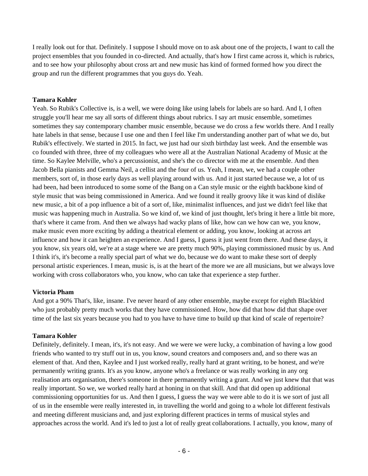I really look out for that. Definitely. I suppose I should move on to ask about one of the projects, I want to call the project ensembles that you founded in co-directed. And actually, that's how I first came across it, which is rubrics, and to see how your philosophy about cross art and new music has kind of formed formed how you direct the group and run the different programmes that you guys do. Yeah.

# **Tamara Kohler**

Yeah. So Rubik's Collective is, is a well, we were doing like using labels for labels are so hard. And I, I often struggle you'll hear me say all sorts of different things about rubrics. I say art music ensemble, sometimes sometimes they say contemporary chamber music ensemble, because we do cross a few worlds there. And I really hate labels in that sense, because I use one and then I feel like I'm understanding another part of what we do, but Rubik's effectively. We started in 2015. In fact, we just had our sixth birthday last week. And the ensemble was co founded with three, three of my colleagues who were all at the Australian National Academy of Music at the time. So Kaylee Melville, who's a percussionist, and she's the co director with me at the ensemble. And then Jacob Bella pianists and Gemma Neil, a cellist and the four of us. Yeah, I mean, we, we had a couple other members, sort of, in those early days as well playing around with us. And it just started because we, a lot of us had been, had been introduced to some some of the Bang on a Can style music or the eighth backbone kind of style music that was being commissioned in America. And we found it really groovy like it was kind of dislike new music, a bit of a pop influence a bit of a sort of, like, minimalist influences, and just we didn't feel like that music was happening much in Australia. So we kind of, we kind of just thought, let's bring it here a little bit more, that's where it came from. And then we always had wacky plans of like, how can we how can we, you know, make music even more exciting by adding a theatrical element or adding, you know, looking at across art influence and how it can heighten an experience. And I guess, I guess it just went from there. And these days, it you know, six years old, we're at a stage where we are pretty much 90%, playing commissioned music by us. And I think it's, it's become a really special part of what we do, because we do want to make these sort of deeply personal artistic experiences. I mean, music is, is at the heart of the more we are all musicians, but we always love working with cross collaborators who, you know, who can take that experience a step further.

#### **Victoria Pham**

And got a 90% That's, like, insane. I've never heard of any other ensemble, maybe except for eighth Blackbird who just probably pretty much works that they have commissioned. How, how did that how did that shape over time of the last six years because you had to you have to have time to build up that kind of scale of repertoire?

# **Tamara Kohler**

Definitely, definitely. I mean, it's, it's not easy. And we were we were lucky, a combination of having a low good friends who wanted to try stuff out in us, you know, sound creators and composers and, and so there was an element of that. And then, Kaylee and I just worked really, really hard at grant writing, to be honest, and we're permanently writing grants. It's as you know, anyone who's a freelance or was really working in any org realisation arts organisation, there's someone in there permanently writing a grant. And we just knew that that was really important. So we, we worked really hard at honing in on that skill. And that did open up additional commissioning opportunities for us. And then I guess, I guess the way we were able to do it is we sort of just all of us in the ensemble were really interested in, in travelling the world and going to a whole lot different festivals and meeting different musicians and, and just exploring different practices in terms of musical styles and approaches across the world. And it's led to just a lot of really great collaborations. I actually, you know, many of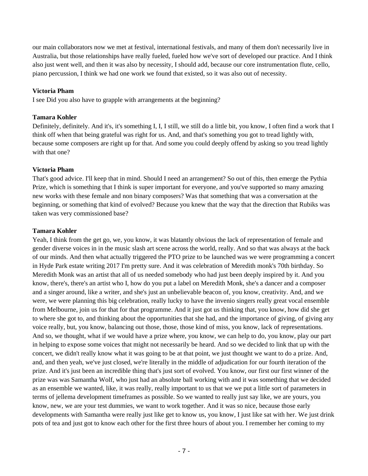our main collaborators now we met at festival, international festivals, and many of them don't necessarily live in Australia, but those relationships have really fueled, fueled how we've sort of developed our practice. And I think also just went well, and then it was also by necessity, I should add, because our core instrumentation flute, cello, piano percussion, I think we had one work we found that existed, so it was also out of necessity.

#### **Victoria Pham**

I see Did you also have to grapple with arrangements at the beginning?

#### **Tamara Kohler**

Definitely, definitely. And it's, it's something I, I, I still, we still do a little bit, you know, I often find a work that I think off when that being grateful was right for us. And, and that's something you got to tread lightly with, because some composers are right up for that. And some you could deeply offend by asking so you tread lightly with that one?

#### **Victoria Pham**

That's good advice. I'll keep that in mind. Should I need an arrangement? So out of this, then emerge the Pythia Prize, which is something that I think is super important for everyone, and you've supported so many amazing new works with these female and non binary composers? Was that something that was a conversation at the beginning, or something that kind of evolved? Because you knew that the way that the direction that Rubiks was taken was very commissioned base?

#### **Tamara Kohler**

Yeah, I think from the get go, we, you know, it was blatantly obvious the lack of representation of female and gender diverse voices in in the music slash art scene across the world, really. And so that was always at the back of our minds. And then what actually triggered the PTO prize to be launched was we were programming a concert in Hyde Park estate writing 2017 I'm pretty sure. And it was celebration of Meredith monk's 70th birthday. So Meredith Monk was an artist that all of us needed somebody who had just been deeply inspired by it. And you know, there's, there's an artist who I, how do you put a label on Meredith Monk, she's a dancer and a composer and a singer around, like a writer, and she's just an unbelievable beacon of, you know, creativity. And, and we were, we were planning this big celebration, really lucky to have the invenio singers really great vocal ensemble from Melbourne, join us for that for that programme. And it just got us thinking that, you know, how did she get to where she got to, and thinking about the opportunities that she had, and the importance of giving, of giving any voice really, but, you know, balancing out those, those, those kind of miss, you know, lack of representations. And so, we thought, what if we would have a prize where, you know, we can help to do, you know, play our part in helping to expose some voices that might not necessarily be heard. And so we decided to link that up with the concert, we didn't really know what it was going to be at that point, we just thought we want to do a prize. And, and, and then yeah, we've just closed, we're literally in the middle of adjudication for our fourth iteration of the prize. And it's just been an incredible thing that's just sort of evolved. You know, our first our first winner of the prize was was Samantha Wolf, who just had an absolute ball working with and it was something that we decided as an ensemble we wanted, like, it was really, really important to us that we we put a little sort of parameters in terms of jellema development timeframes as possible. So we wanted to really just say like, we are yours, you know, new, we are your test dummies, we want to work together. And it was so nice, because those early developments with Samantha were really just like get to know us, you know, I just like sat with her. We just drink pots of tea and just got to know each other for the first three hours of about you. I remember her coming to my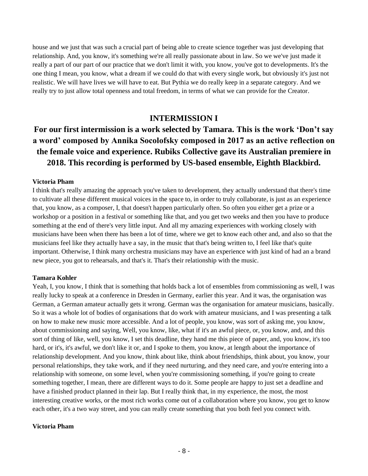house and we just that was such a crucial part of being able to create science together was just developing that relationship. And, you know, it's something we're all really passionate about in law. So we we've just made it really a part of our part of our practice that we don't limit it with, you know, you've got to developments. It's the one thing I mean, you know, what a dream if we could do that with every single work, but obviously it's just not realistic. We will have lives we will have to eat. But Pythia we do really keep in a separate category. And we really try to just allow total openness and total freedom, in terms of what we can provide for the Creator.

# **INTERMISSION I**

# **For our first intermission is a work selected by Tamara. This is the work 'Don't say a word' composed by Annika Socolofsky composed in 2017 as an active reflection on the female voice and experience. Rubiks Collective gave its Australian premiere in 2018. This recording is performed by US-based ensemble, Eighth Blackbird.**

#### **Victoria Pham**

I think that's really amazing the approach you've taken to development, they actually understand that there's time to cultivate all these different musical voices in the space to, in order to truly collaborate, is just as an experience that, you know, as a composer, I, that doesn't happen particularly often. So often you either get a prize or a workshop or a position in a festival or something like that, and you get two weeks and then you have to produce something at the end of there's very little input. And all my amazing experiences with working closely with musicians have been when there has been a lot of time, where we get to know each other and, and also so that the musicians feel like they actually have a say, in the music that that's being written to, I feel like that's quite important. Otherwise, I think many orchestra musicians may have an experience with just kind of had an a brand new piece, you got to rehearsals, and that's it. That's their relationship with the music.

#### **Tamara Kohler**

Yeah, I, you know, I think that is something that holds back a lot of ensembles from commissioning as well, I was really lucky to speak at a conference in Dresden in Germany, earlier this year. And it was, the organisation was German, a German amateur actually gets it wrong. German was the organisation for amateur musicians, basically. So it was a whole lot of bodies of organisations that do work with amateur musicians, and I was presenting a talk on how to make new music more accessible. And a lot of people, you know, was sort of asking me, you know, about commissioning and saying, Well, you know, like, what if it's an awful piece, or, you know, and, and this sort of thing of like, well, you know, I set this deadline, they hand me this piece of paper, and, you know, it's too hard, or it's, it's awful, we don't like it or, and I spoke to them, you know, at length about the importance of relationship development. And you know, think about like, think about friendships, think about, you know, your personal relationships, they take work, and if they need nurturing, and they need care, and you're entering into a relationship with someone, on some level, when you're commissioning something, if you're going to create something together, I mean, there are different ways to do it. Some people are happy to just set a deadline and have a finished product planned in their lap. But I really think that, in my experience, the most, the most interesting creative works, or the most rich works come out of a collaboration where you know, you get to know each other, it's a two way street, and you can really create something that you both feel you connect with.

#### **Victoria Pham**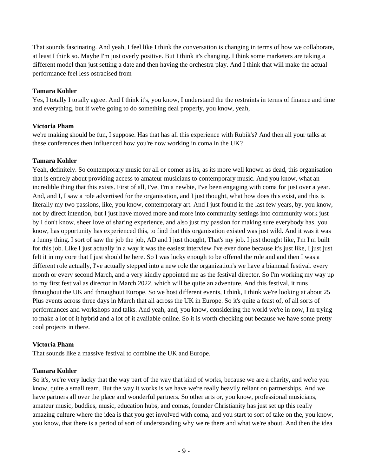That sounds fascinating. And yeah, I feel like I think the conversation is changing in terms of how we collaborate, at least I think so. Maybe I'm just overly positive. But I think it's changing. I think some marketers are taking a different model than just setting a date and then having the orchestra play. And I think that will make the actual performance feel less ostracised from

#### **Tamara Kohler**

Yes, I totally I totally agree. And I think it's, you know, I understand the the restraints in terms of finance and time and everything, but if we're going to do something deal properly, you know, yeah,

# **Victoria Pham**

we're making should be fun, I suppose. Has that has all this experience with Rubik's? And then all your talks at these conferences then influenced how you're now working in coma in the UK?

# **Tamara Kohler**

Yeah, definitely. So contemporary music for all or comer as its, as its more well known as dead, this organisation that is entirely about providing access to amateur musicians to contemporary music. And you know, what an incredible thing that this exists. First of all, I've, I'm a newbie, I've been engaging with coma for just over a year. And, and I, I saw a role advertised for the organisation, and I just thought, what how does this exist, and this is literally my two passions, like, you know, contemporary art. And I just found in the last few years, by, you know, not by direct intention, but I just have moved more and more into community settings into community work just by I don't know, sheer love of sharing experience, and also just my passion for making sure everybody has, you know, has opportunity has experienced this, to find that this organisation existed was just wild. And it was it was a funny thing. I sort of saw the job the job, AD and I just thought, That's my job. I just thought like, I'm I'm built for this job. Like I just actually in a way it was the easiest interview I've ever done because it's just like, I just just felt it in my core that I just should be here. So I was lucky enough to be offered the role and and then I was a different role actually, I've actually stepped into a new role the organization's we have a biannual festival. every month or every second March, and a very kindly appointed me as the festival director. So I'm working my way up to my first festival as director in March 2022, which will be quite an adventure. And this festival, it runs throughout the UK and throughout Europe. So we host different events, I think, I think we're looking at about 25 Plus events across three days in March that all across the UK in Europe. So it's quite a feast of, of all sorts of performances and workshops and talks. And yeah, and, you know, considering the world we're in now, I'm trying to make a lot of it hybrid and a lot of it available online. So it is worth checking out because we have some pretty cool projects in there.

# **Victoria Pham**

That sounds like a massive festival to combine the UK and Europe.

# **Tamara Kohler**

So it's, we're very lucky that the way part of the way that kind of works, because we are a charity, and we're you know, quite a small team. But the way it works is we have we're really heavily reliant on partnerships. And we have partners all over the place and wonderful partners. So other arts or, you know, professional musicians, amateur music, buddies, music, education hubs, and comas, founder Christianity has just set up this really amazing culture where the idea is that you get involved with coma, and you start to sort of take on the, you know, you know, that there is a period of sort of understanding why we're there and what we're about. And then the idea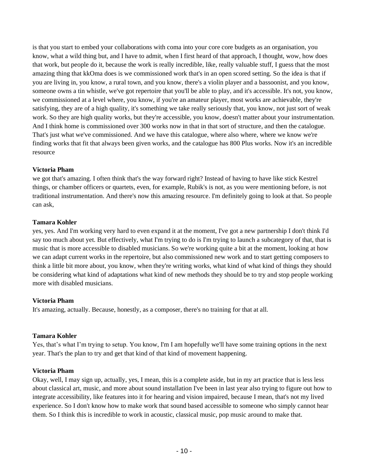is that you start to embed your collaborations with coma into your core core budgets as an organisation, you know, what a wild thing but, and I have to admit, when I first heard of that approach, I thought, wow, how does that work, but people do it, because the work is really incredible, like, really valuable stuff, I guess that the most amazing thing that kkOma does is we commissioned work that's in an open scored setting. So the idea is that if you are living in, you know, a rural town, and you know, there's a violin player and a bassoonist, and you know, someone owns a tin whistle, we've got repertoire that you'll be able to play, and it's accessible. It's not, you know, we commissioned at a level where, you know, if you're an amateur player, most works are achievable, they're satisfying, they are of a high quality, it's something we take really seriously that, you know, not just sort of weak work. So they are high quality works, but they're accessible, you know, doesn't matter about your instrumentation. And I think home is commissioned over 300 works now in that in that sort of structure, and then the catalogue. That's just what we've commissioned. And we have this catalogue, where also where, where we know we're finding works that fit that always been given works, and the catalogue has 800 Plus works. Now it's an incredible resource

#### **Victoria Pham**

we got that's amazing. I often think that's the way forward right? Instead of having to have like stick Kestrel things, or chamber officers or quartets, even, for example, Rubik's is not, as you were mentioning before, is not traditional instrumentation. And there's now this amazing resource. I'm definitely going to look at that. So people can ask,

#### **Tamara Kohler**

yes, yes. And I'm working very hard to even expand it at the moment, I've got a new partnership I don't think I'd say too much about yet. But effectively, what I'm trying to do is I'm trying to launch a subcategory of that, that is music that is more accessible to disabled musicians. So we're working quite a bit at the moment, looking at how we can adapt current works in the repertoire, but also commissioned new work and to start getting composers to think a little bit more about, you know, when they're writing works, what kind of what kind of things they should be considering what kind of adaptations what kind of new methods they should be to try and stop people working more with disabled musicians.

# **Victoria Pham**

It's amazing, actually. Because, honestly, as a composer, there's no training for that at all.

# **Tamara Kohler**

Yes, that's what I'm trying to setup. You know, I'm I am hopefully we'll have some training options in the next year. That's the plan to try and get that kind of that kind of movement happening.

#### **Victoria Pham**

Okay, well, I may sign up, actually, yes, I mean, this is a complete aside, but in my art practice that is less less about classical art, music, and more about sound installation I've been in last year also trying to figure out how to integrate accessibility, like features into it for hearing and vision impaired, because I mean, that's not my lived experience. So I don't know how to make work that sound based accessible to someone who simply cannot hear them. So I think this is incredible to work in acoustic, classical music, pop music around to make that.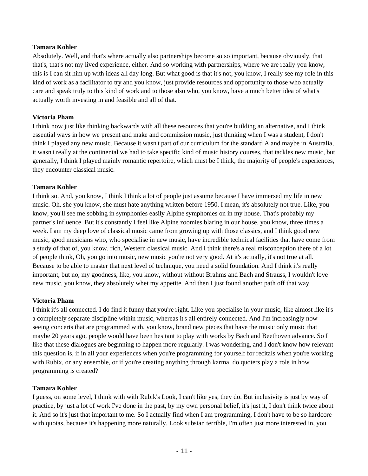#### **Tamara Kohler**

Absolutely. Well, and that's where actually also partnerships become so so important, because obviously, that that's, that's not my lived experience, either. And so working with partnerships, where we are really you know, this is I can sit him up with ideas all day long. But what good is that it's not, you know, I really see my role in this kind of work as a facilitator to try and you know, just provide resources and opportunity to those who actually care and speak truly to this kind of work and to those also who, you know, have a much better idea of what's actually worth investing in and feasible and all of that.

# **Victoria Pham**

I think now just like thinking backwards with all these resources that you're building an alternative, and I think essential ways in how we present and make and commission music, just thinking when I was a student, I don't think I played any new music. Because it wasn't part of our curriculum for the standard A and maybe in Australia, it wasn't really at the continental we had to take specific kind of music history courses, that tackles new music, but generally, I think I played mainly romantic repertoire, which must be I think, the majority of people's experiences, they encounter classical music.

#### **Tamara Kohler**

I think so. And, you know, I think I think a lot of people just assume because I have immersed my life in new music. Oh, she you know, she must hate anything written before 1950. I mean, it's absolutely not true. Like, you know, you'll see me sobbing in symphonies easily Alpine symphonies on in my house. That's probably my partner's influence. But it's constantly I feel like Alpine zoomies blaring in our house, you know, three times a week. I am my deep love of classical music came from growing up with those classics, and I think good new music, good musicians who, who specialise in new music, have incredible technical facilities that have come from a study of that of, you know, rich, Western classical music. And I think there's a real misconception there of a lot of people think, Oh, you go into music, new music you're not very good. At it's actually, it's not true at all. Because to be able to master that next level of technique, you need a solid foundation. And I think it's really important, but no, my goodness, like, you know, without without Brahms and Bach and Strauss, I wouldn't love new music, you know, they absolutely whet my appetite. And then I just found another path off that way.

#### **Victoria Pham**

I think it's all connected. I do find it funny that you're right. Like you specialise in your music, like almost like it's a completely separate discipline within music, whereas it's all entirely connected. And I'm increasingly now seeing concerts that are programmed with, you know, brand new pieces that have the music only music that maybe 20 years ago, people would have been hesitant to play with works by Bach and Beethoven advance. So I like that these dialogues are beginning to happen more regularly. I was wondering, and I don't know how relevant this question is, if in all your experiences when you're programming for yourself for recitals when you're working with Rubix, or any ensemble, or if you're creating anything through karma, do quoters play a role in how programming is created?

#### **Tamara Kohler**

I guess, on some level, I think with with Rubik's Look, I can't like yes, they do. But inclusivity is just by way of practice, by just a lot of work I've done in the past, by my own personal belief, it's just it, I don't think twice about it. And so it's just that important to me. So I actually find when I am programming, I don't have to be so hardcore with quotas, because it's happening more naturally. Look substan terrible, I'm often just more interested in, you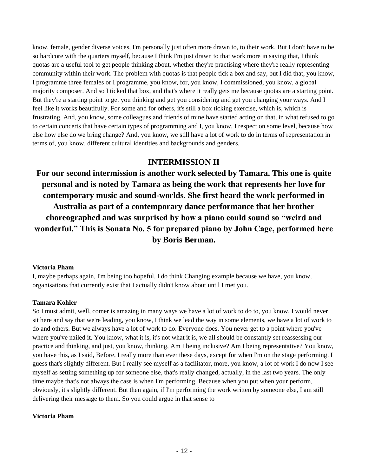know, female, gender diverse voices, I'm personally just often more drawn to, to their work. But I don't have to be so hardcore with the quarters myself, because I think I'm just drawn to that work more in saying that, I think quotas are a useful tool to get people thinking about, whether they're practising where they're really representing community within their work. The problem with quotas is that people tick a box and say, but I did that, you know, I programme three females or I programme, you know, for, you know, I commissioned, you know, a global majority composer. And so I ticked that box, and that's where it really gets me because quotas are a starting point. But they're a starting point to get you thinking and get you considering and get you changing your ways. And I feel like it works beautifully. For some and for others, it's still a box ticking exercise, which is, which is frustrating. And, you know, some colleagues and friends of mine have started acting on that, in what refused to go to certain concerts that have certain types of programming and I, you know, I respect on some level, because how else how else do we bring change? And, you know, we still have a lot of work to do in terms of representation in terms of, you know, different cultural identities and backgrounds and genders.

# **INTERMISSION II**

**For our second intermission is another work selected by Tamara. This one is quite personal and is noted by Tamara as being the work that represents her love for contemporary music and sound-worlds. She first heard the work performed in Australia as part of a contemporary dance performance that her brother choreographed and was surprised by how a piano could sound so "weird and wonderful." This is Sonata No. 5 for prepared piano by John Cage, performed here by Boris Berman.**

# **Victoria Pham**

I, maybe perhaps again, I'm being too hopeful. I do think Changing example because we have, you know, organisations that currently exist that I actually didn't know about until I met you.

# **Tamara Kohler**

So I must admit, well, comer is amazing in many ways we have a lot of work to do to, you know, I would never sit here and say that we're leading, you know, I think we lead the way in some elements, we have a lot of work to do and others. But we always have a lot of work to do. Everyone does. You never get to a point where you've where you've nailed it. You know, what it is, it's not what it is, we all should be constantly set reassessing our practice and thinking, and just, you know, thinking, Am I being inclusive? Am I being representative? You know, you have this, as I said, Before, I really more than ever these days, except for when I'm on the stage performing. I guess that's slightly different. But I really see myself as a facilitator, more, you know, a lot of work I do now I see myself as setting something up for someone else, that's really changed, actually, in the last two years. The only time maybe that's not always the case is when I'm performing. Because when you put when your perform, obviously, it's slightly different. But then again, if I'm performing the work written by someone else, I am still delivering their message to them. So you could argue in that sense to

#### **Victoria Pham**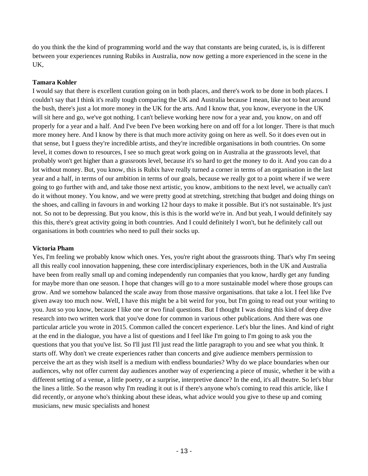do you think the the kind of programming world and the way that constants are being curated, is, is is different between your experiences running Rubiks in Australia, now now getting a more experienced in the scene in the UK,

# **Tamara Kohler**

I would say that there is excellent curation going on in both places, and there's work to be done in both places. I couldn't say that I think it's really tough comparing the UK and Australia because I mean, like not to beat around the bush, there's just a lot more money in the UK for the arts. And I know that, you know, everyone in the UK will sit here and go, we've got nothing. I can't believe working here now for a year and, you know, on and off properly for a year and a half. And I've been I've been working here on and off for a lot longer. There is that much more money here. And I know by there is that much more activity going on here as well. So it does even out in that sense, but I guess they're incredible artists, and they're incredible organisations in both countries. On some level, it comes down to resources, I see so much great work going on in Australia at the grassroots level, that probably won't get higher than a grassroots level, because it's so hard to get the money to do it. And you can do a lot without money. But, you know, this is Rubix have really turned a corner in terms of an organisation in the last year and a half, in terms of our ambition in terms of our goals, because we really got to a point where if we were going to go further with and, and take those next artistic, you know, ambitions to the next level, we actually can't do it without money. You know, and we were pretty good at stretching, stretching that budget and doing things on the shoes, and calling in favours in and working 12 hour days to make it possible. But it's not sustainable. It's just not. So not to be depressing. But you know, this is this is the world we're in. And but yeah, I would definitely say this this, there's great activity going in both countries. And I could definitely I won't, but he definitely call out organisations in both countries who need to pull their socks up.

# **Victoria Pham**

Yes, I'm feeling we probably know which ones. Yes, you're right about the grassroots thing. That's why I'm seeing all this really cool innovation happening, these core interdisciplinary experiences, both in the UK and Australia have been from really small up and coming independently run companies that you know, hardly get any funding for maybe more than one season. I hope that changes will go to a more sustainable model where those groups can grow. And we somehow balanced the scale away from those massive organisations. that take a lot. I feel like I've given away too much now. Well, I have this might be a bit weird for you, but I'm going to read out your writing to you. Just so you know, because I like one or two final questions. But I thought I was doing this kind of deep dive research into two written work that you've done for common in various other publications. And there was one particular article you wrote in 2015. Common called the concert experience. Let's blur the lines. And kind of right at the end in the dialogue, you have a list of questions and I feel like I'm going to I'm going to ask you the questions that you that you've list. So I'll just I'll just read the little paragraph to you and see what you think. It starts off. Why don't we create experiences rather than concerts and give audience members permission to perceive the art as they wish itself is a medium with endless boundaries? Why do we place boundaries when our audiences, why not offer current day audiences another way of experiencing a piece of music, whether it be with a different setting of a venue, a little poetry, or a surprise, interpretive dance? In the end, it's all theatre. So let's blur the lines a little. So the reason why I'm reading it out is if there's anyone who's coming to read this article, like I did recently, or anyone who's thinking about these ideas, what advice would you give to these up and coming musicians, new music specialists and honest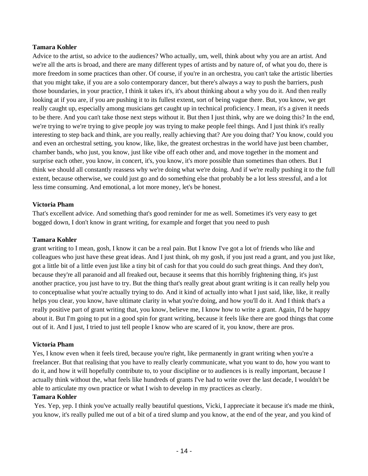#### **Tamara Kohler**

Advice to the artist, so advice to the audiences? Who actually, um, well, think about why you are an artist. And we're all the arts is broad, and there are many different types of artists and by nature of, of what you do, there is more freedom in some practices than other. Of course, if you're in an orchestra, you can't take the artistic liberties that you might take, if you are a solo contemporary dancer, but there's always a way to push the barriers, push those boundaries, in your practice, I think it takes it's, it's about thinking about a why you do it. And then really looking at if you are, if you are pushing it to its fullest extent, sort of being vague there. But, you know, we get really caught up, especially among musicians get caught up in technical proficiency. I mean, it's a given it needs to be there. And you can't take those next steps without it. But then I just think, why are we doing this? In the end, we're trying to we're trying to give people joy was trying to make people feel things. And I just think it's really interesting to step back and think, are you really, really achieving that? Are you doing that? You know, could you and even an orchestral setting, you know, like, like, the greatest orchestras in the world have just been chamber, chamber bands, who just, you know, just like vibe off each other and, and move together in the moment and surprise each other, you know, in concert, it's, you know, it's more possible than sometimes than others. But I think we should all constantly reassess why we're doing what we're doing. And if we're really pushing it to the full extent, because otherwise, we could just go and do something else that probably be a lot less stressful, and a lot less time consuming. And emotional, a lot more money, let's be honest.

#### **Victoria Pham**

That's excellent advice. And something that's good reminder for me as well. Sometimes it's very easy to get bogged down, I don't know in grant writing, for example and forget that you need to push

#### **Tamara Kohler**

grant writing to I mean, gosh, I know it can be a real pain. But I know I've got a lot of friends who like and colleagues who just have these great ideas. And I just think, oh my gosh, if you just read a grant, and you just like, got a little bit of a little even just like a tiny bit of cash for that you could do such great things. And they don't, because they're all paranoid and all freaked out, because it seems that this horribly frightening thing, it's just another practice, you just have to try. But the thing that's really great about grant writing is it can really help you to conceptualise what you're actually trying to do. And it kind of actually into what I just said, like, like, it really helps you clear, you know, have ultimate clarity in what you're doing, and how you'll do it. And I think that's a really positive part of grant writing that, you know, believe me, I know how to write a grant. Again, I'd be happy about it. But I'm going to put in a good spin for grant writing, because it feels like there are good things that come out of it. And I just, I tried to just tell people I know who are scared of it, you know, there are pros.

#### **Victoria Pham**

Yes, I know even when it feels tired, because you're right, like permanently in grant writing when you're a freelancer. But that realising that you have to really clearly communicate, what you want to do, how you want to do it, and how it will hopefully contribute to, to your discipline or to audiences is is really important, because I actually think without the, what feels like hundreds of grants I've had to write over the last decade, I wouldn't be able to articulate my own practice or what I wish to develop in my practices as clearly.

# **Tamara Kohler**

Yes. Yep, yep. I think you've actually really beautiful questions, Vicki, I appreciate it because it's made me think, you know, it's really pulled me out of a bit of a tired slump and you know, at the end of the year, and you kind of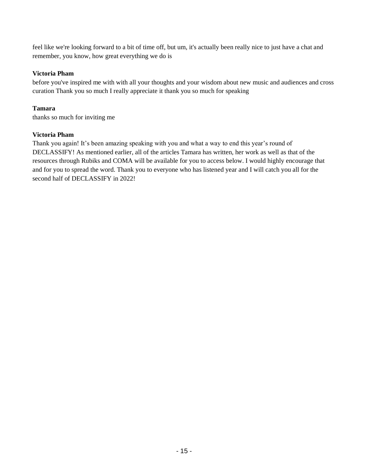feel like we're looking forward to a bit of time off, but um, it's actually been really nice to just have a chat and remember, you know, how great everything we do is

# **Victoria Pham**

before you've inspired me with with all your thoughts and your wisdom about new music and audiences and cross curation Thank you so much I really appreciate it thank you so much for speaking

# **Tamara**

thanks so much for inviting me

# **Victoria Pham**

Thank you again! It's been amazing speaking with you and what a way to end this year's round of DECLASSIFY! As mentioned earlier, all of the articles Tamara has written, her work as well as that of the resources through Rubiks and COMA will be available for you to access below. I would highly encourage that and for you to spread the word. Thank you to everyone who has listened year and I will catch you all for the second half of DECLASSIFY in 2022!